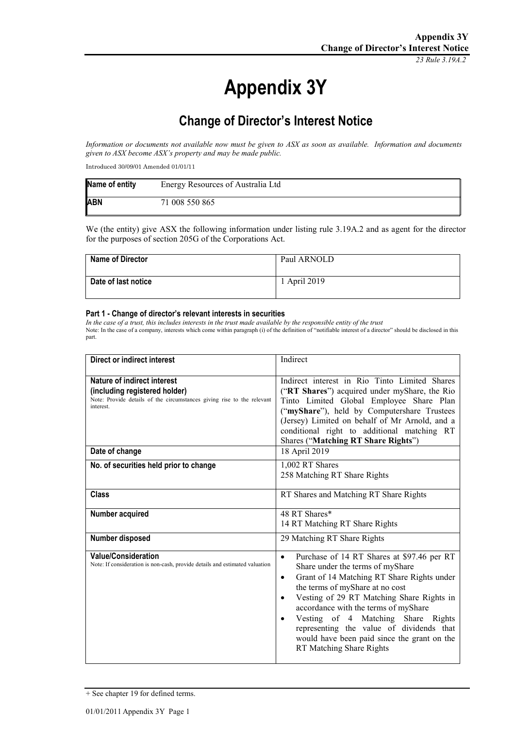*23 Rule 3.19A.2*

# **Appendix 3Y**

## **Change of Director's Interest Notice**

*Information or documents not available now must be given to ASX as soon as available. Information and documents given to ASX become ASX's property and may be made public.*

Introduced 30/09/01 Amended 01/01/11

| Name of entity | Energy Resources of Australia Ltd |
|----------------|-----------------------------------|
| <b>ABN</b>     | 71 008 550 865                    |

We (the entity) give ASX the following information under listing rule 3.19A.2 and as agent for the director for the purposes of section 205G of the Corporations Act.

| <b>Name of Director</b> | Paul ARNOLD  |
|-------------------------|--------------|
| Date of last notice     | 1 April 2019 |

#### **Part 1 - Change of director's relevant interests in securities**

*In the case of a trust, this includes interests in the trust made available by the responsible entity of the trust* Note: In the case of a company, interests which come within paragraph (i) of the definition of "notifiable interest of a director" should be disclosed in this part.

| Direct or indirect interest                                                                                                                         | Indirect                                                                                                                                                                                                                                                                                                                                                                                                                                         |
|-----------------------------------------------------------------------------------------------------------------------------------------------------|--------------------------------------------------------------------------------------------------------------------------------------------------------------------------------------------------------------------------------------------------------------------------------------------------------------------------------------------------------------------------------------------------------------------------------------------------|
| Nature of indirect interest<br>(including registered holder)<br>Note: Provide details of the circumstances giving rise to the relevant<br>interest. | Indirect interest in Rio Tinto Limited Shares<br>("RT Shares") acquired under myShare, the Rio<br>Tinto Limited Global Employee Share Plan<br>("myShare"), held by Computershare Trustees<br>(Jersey) Limited on behalf of Mr Arnold, and a<br>conditional right to additional matching RT<br>Shares ("Matching RT Share Rights")                                                                                                                |
| Date of change                                                                                                                                      | 18 April 2019                                                                                                                                                                                                                                                                                                                                                                                                                                    |
| No. of securities held prior to change                                                                                                              | 1,002 RT Shares<br>258 Matching RT Share Rights                                                                                                                                                                                                                                                                                                                                                                                                  |
| <b>Class</b>                                                                                                                                        | RT Shares and Matching RT Share Rights                                                                                                                                                                                                                                                                                                                                                                                                           |
| Number acquired                                                                                                                                     | 48 RT Shares*<br>14 RT Matching RT Share Rights                                                                                                                                                                                                                                                                                                                                                                                                  |
| Number disposed                                                                                                                                     | 29 Matching RT Share Rights                                                                                                                                                                                                                                                                                                                                                                                                                      |
| <b>Value/Consideration</b><br>Note: If consideration is non-cash, provide details and estimated valuation                                           | Purchase of 14 RT Shares at \$97.46 per RT<br>$\bullet$<br>Share under the terms of myShare<br>Grant of 14 Matching RT Share Rights under<br>٠<br>the terms of myShare at no cost<br>Vesting of 29 RT Matching Share Rights in<br>$\bullet$<br>accordance with the terms of myShare<br>Vesting of 4 Matching Share Rights<br>representing the value of dividends that<br>would have been paid since the grant on the<br>RT Matching Share Rights |

<sup>+</sup> See chapter 19 for defined terms.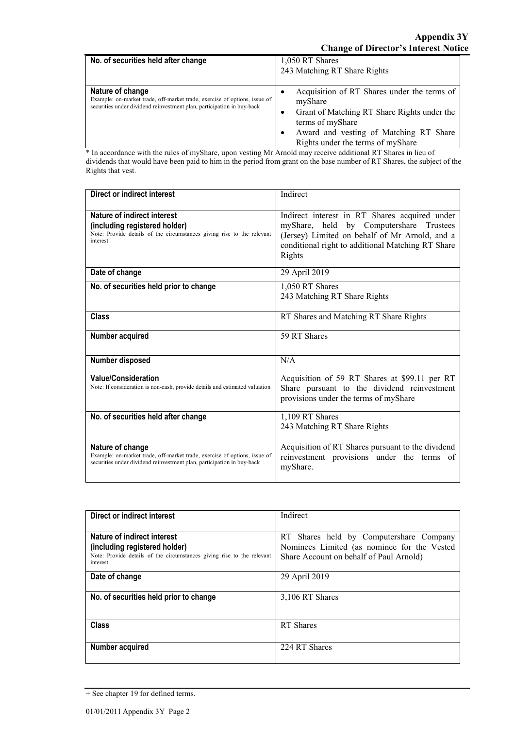| No. of securities held after change                                                                                                                                     | 1,050 RT Shares<br>243 Matching RT Share Rights                                                                                                                                                          |
|-------------------------------------------------------------------------------------------------------------------------------------------------------------------------|----------------------------------------------------------------------------------------------------------------------------------------------------------------------------------------------------------|
| Nature of change<br>Example: on-market trade, off-market trade, exercise of options, issue of<br>securities under dividend reinvestment plan, participation in buy-back | Acquisition of RT Shares under the terms of<br>myShare<br>Grant of Matching RT Share Rights under the<br>terms of myShare<br>Award and vesting of Matching RT Share<br>Rights under the terms of myShare |

\* In accordance with the rules of myShare, upon vesting Mr Arnold may receive additional RT Shares in lieu of dividends that would have been paid to him in the period from grant on the base number of RT Shares, the subject of the Rights that vest.

| <b>Direct or indirect interest</b>                                                                                                                                      | Indirect                                                                                                                                                                                                  |
|-------------------------------------------------------------------------------------------------------------------------------------------------------------------------|-----------------------------------------------------------------------------------------------------------------------------------------------------------------------------------------------------------|
| Nature of indirect interest<br>(including registered holder)<br>Note: Provide details of the circumstances giving rise to the relevant<br>interest                      | Indirect interest in RT Shares acquired under<br>myShare, held by Computershare Trustees<br>(Jersey) Limited on behalf of Mr Arnold, and a<br>conditional right to additional Matching RT Share<br>Rights |
| Date of change                                                                                                                                                          | 29 April 2019                                                                                                                                                                                             |
| No. of securities held prior to change                                                                                                                                  | 1.050 RT Shares<br>243 Matching RT Share Rights                                                                                                                                                           |
| Class                                                                                                                                                                   | RT Shares and Matching RT Share Rights                                                                                                                                                                    |
| Number acquired                                                                                                                                                         | 59 RT Shares                                                                                                                                                                                              |
| Number disposed                                                                                                                                                         | N/A                                                                                                                                                                                                       |
| Value/Consideration<br>Note: If consideration is non-cash, provide details and estimated valuation                                                                      | Acquisition of 59 RT Shares at \$99.11 per RT<br>Share pursuant to the dividend reinvestment<br>provisions under the terms of myShare                                                                     |
| No. of securities held after change                                                                                                                                     | 1.109 RT Shares<br>243 Matching RT Share Rights                                                                                                                                                           |
| Nature of change<br>Example: on-market trade, off-market trade, exercise of options, issue of<br>securities under dividend reinvestment plan, participation in buy-back | Acquisition of RT Shares pursuant to the dividend<br>reinvestment provisions under the terms of<br>myShare.                                                                                               |

| Direct or indirect interest                                                                                                                         | Indirect                                                                                                                          |
|-----------------------------------------------------------------------------------------------------------------------------------------------------|-----------------------------------------------------------------------------------------------------------------------------------|
| Nature of indirect interest<br>(including registered holder)<br>Note: Provide details of the circumstances giving rise to the relevant<br>interest. | RT Shares held by Computershare Company<br>Nominees Limited (as nominee for the Vested<br>Share Account on behalf of Paul Arnold) |
| Date of change                                                                                                                                      | 29 April 2019                                                                                                                     |
| No. of securities held prior to change                                                                                                              | 3,106 RT Shares                                                                                                                   |
| <b>Class</b>                                                                                                                                        | RT Shares                                                                                                                         |
| Number acquired                                                                                                                                     | 224 RT Shares                                                                                                                     |

<sup>+</sup> See chapter 19 for defined terms.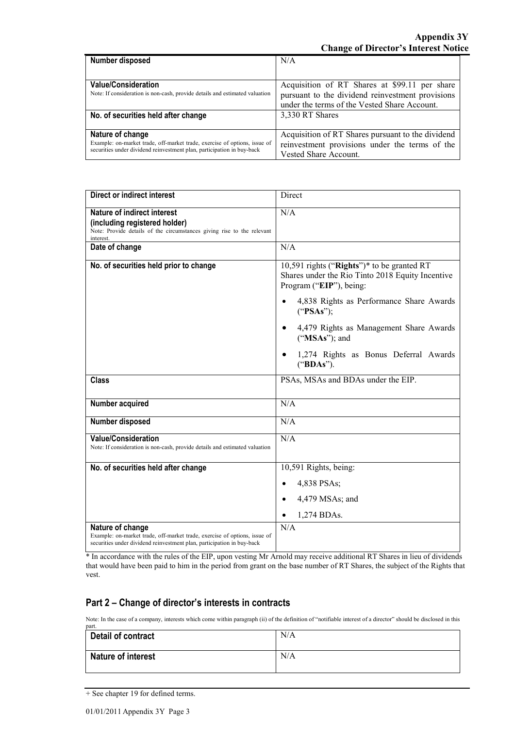| Number disposed                                                             | N/A                                               |
|-----------------------------------------------------------------------------|---------------------------------------------------|
|                                                                             |                                                   |
| <b>Value/Consideration</b>                                                  | Acquisition of RT Shares at \$99.11 per share     |
| Note: If consideration is non-cash, provide details and estimated valuation | pursuant to the dividend reinvestment provisions  |
|                                                                             | under the terms of the Vested Share Account.      |
| No. of securities held after change                                         | 3,330 RT Shares                                   |
|                                                                             |                                                   |
| Nature of change                                                            | Acquisition of RT Shares pursuant to the dividend |
| Example: on-market trade, off-market trade, exercise of options, issue of   | reinvestment provisions under the terms of the    |
| securities under dividend reinvestment plan, participation in buy-back      | Vested Share Account.                             |

| <b>Direct or indirect interest</b>                                                                                                                                      | Direct                                                                                                                    |
|-------------------------------------------------------------------------------------------------------------------------------------------------------------------------|---------------------------------------------------------------------------------------------------------------------------|
| Nature of indirect interest<br>(including registered holder)<br>Note: Provide details of the circumstances giving rise to the relevant<br>interest.                     | N/A                                                                                                                       |
| Date of change                                                                                                                                                          | N/A                                                                                                                       |
| No. of securities held prior to change                                                                                                                                  | 10,591 rights ("Rights")* to be granted RT<br>Shares under the Rio Tinto 2018 Equity Incentive<br>Program ("EIP"), being: |
|                                                                                                                                                                         | 4,838 Rights as Performance Share Awards<br>("PSAs");                                                                     |
|                                                                                                                                                                         | 4,479 Rights as Management Share Awards<br>("MSAs"); and                                                                  |
|                                                                                                                                                                         | 1,274 Rights as Bonus Deferral Awards<br>("BDAs").                                                                        |
| <b>Class</b>                                                                                                                                                            | PSAs, MSAs and BDAs under the EIP.                                                                                        |
| Number acquired                                                                                                                                                         | N/A                                                                                                                       |
| Number disposed                                                                                                                                                         | N/A                                                                                                                       |
| <b>Value/Consideration</b><br>Note: If consideration is non-cash, provide details and estimated valuation                                                               | N/A                                                                                                                       |
| No. of securities held after change                                                                                                                                     | 10,591 Rights, being:                                                                                                     |
|                                                                                                                                                                         | 4,838 PSAs;<br>$\bullet$                                                                                                  |
|                                                                                                                                                                         | 4,479 MSAs; and<br>$\bullet$                                                                                              |
|                                                                                                                                                                         | 1,274 BDAs.                                                                                                               |
| Nature of change<br>Example: on-market trade, off-market trade, exercise of options, issue of<br>securities under dividend reinvestment plan, participation in buy-back | N/A                                                                                                                       |

\* In accordance with the rules of the EIP, upon vesting Mr Arnold may receive additional RT Shares in lieu of dividends that would have been paid to him in the period from grant on the base number of RT Shares, the subject of the Rights that vest.

#### **Part 2 – Change of director's interests in contracts**

Note: In the case of a company, interests which come within paragraph (ii) of the definition of "notifiable interest of a director" should be disclosed in this part.

| Detail of contract        | N/A |
|---------------------------|-----|
| <b>Nature of interest</b> | N/A |

<sup>+</sup> See chapter 19 for defined terms.